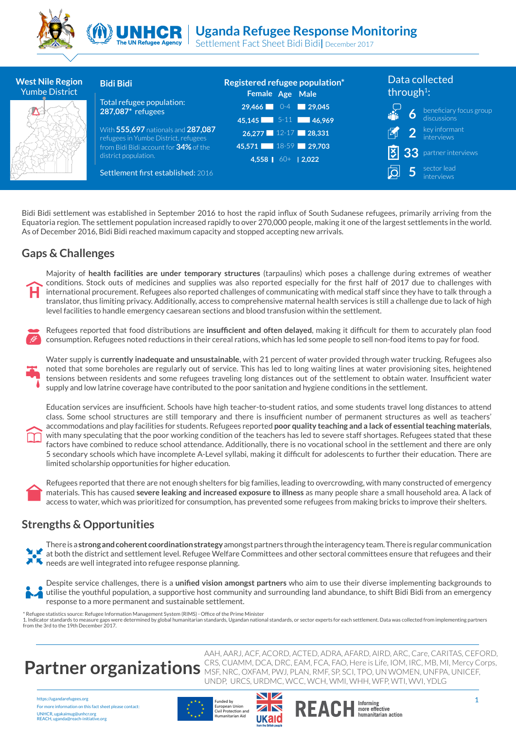



## **Uganda Refugee Response Monitoring**

Settlement Fact Sheet Bidi Bidi**|** December 2017

| <b>West Nile Region</b><br><b>Yumbe District</b> | <b>Bidi Bidi</b>                                                           | Registered refugee population*<br>Female Age Male | Data collected<br>through <sup>1</sup> : |
|--------------------------------------------------|----------------------------------------------------------------------------|---------------------------------------------------|------------------------------------------|
|                                                  | Total refugee population:<br>287,087 <sup>*</sup> refugees                 | $29,466$ 0-4 29,045                               | $\overline{6}$ beneficiary focus group   |
|                                                  |                                                                            | 45,145 5-11 46,969                                |                                          |
|                                                  | With 555,697 nationals and 287,087<br>refugees in Yumbe District, refugees | $26,277$ 12-17 28,331                             | 2 key informant<br>丙                     |
|                                                  | from Bidi Bidi account for 34% of the                                      | 45,571 18-59 29,703                               | <b>33</b> partner interviews             |
|                                                  | district population.                                                       | 4,558 60+ 2,022                                   |                                          |
|                                                  | Settlement first established: 2016                                         |                                                   | sector lead                              |

Bidi Bidi settlement was established in September 2016 to host the rapid influx of South Sudanese refugees, primarily arriving from the Equatoria region. The settlement population increased rapidly to over 270,000 people, making it one of the largest settlements in the world. As of December 2016, Bidi Bidi reached maximum capacity and stopped accepting new arrivals.

## **Gaps & Challenges**

Majority of **health facilities are under temporary structures** (tarpaulins) which poses a challenge during extremes of weather conditions. Stock outs of medicines and supplies was also reported especially for the first half of 2017 due to challenges with international procurement. Refugees also reported challenges of communicating with medical staff since they have to talk through a translator, thus limiting privacy. Additionally, access to comprehensive maternal health services is still a challenge due to lack of high level facilities to handle emergency caesarean sections and blood transfusion within the settlement.

Refugees reported that food distributions are **insufficient and often delayed**, making it difficult for them to accurately plan food consumption. Refugees noted reductions in their cereal rations, which has led some people to sell non-food items to pay for food.

Water supply is **currently inadequate and unsustainable**, with 21 percent of water provided through water trucking. Refugees also noted that some boreholes are regularly out of service. This has led to long waiting lines at water provisioning sites, heightened tensions between residents and some refugees traveling long distances out of the settlement to obtain water. Insufficient water supply and low latrine coverage have contributed to the poor sanitation and hygiene conditions in the settlement.

Education services are insufficient. Schools have high teacher-to-student ratios, and some students travel long distances to attend class. Some school structures are still temporary and there is insufficient number of permanent structures as well as teachers' accommodations and play facilities for students. Refugees reported **poor quality teaching and a lack of essential teaching materials**, with many speculating that the poor working condition of the teachers has led to severe staff shortages. Refugees stated that these factors have combined to reduce school attendance. Additionally, there is no vocational school in the settlement and there are only 5 secondary schools which have incomplete A-Level syllabi, making it difficult for adolescents to further their education. There are limited scholarship opportunities for higher education.

Refugees reported that there are not enough shelters for big families, leading to overcrowding, with many constructed of emergency materials. This has caused **severe leaking and increased exposure to illness** as many people share a small household area. A lack of access to water, which was prioritized for consumption, has prevented some refugees from making bricks to improve their shelters.

### **Strengths & Opportunities**

There is a **strong and coherent coordination strategy** amongst partners through the interagency team. There is regular communication at both the district and settlement level. Refugee Welfare Committees and other sectoral committees ensure that refugees and their  $\blacktriangleright$  needs are well integrated into refugee response planning.

Despite service challenges, there is a **unified vision amongst partners** who aim to use their diverse implementing backgrounds to utilise the youthful population, a supportive host community and surrounding land abundance, to shift Bidi Bidi from an emergency response to a more permanent and sustainable settlement.

\* Refugee statistics source: Refugee Information Management System (RIMS) - Office of the Prime Minister 1. Indicator standards to measure gaps were determined by global humanitarian standards, Ugandan national standards, or sector experts for each settlement. Data was collected from implementing partners from the 3rd to the 19th December 2017.

# **Partner organizations** *Insertime Dea, DRC, EAM, FCA, FAO, Here is Life, IOM, IRC, MB, MI, Mercy Co*<br>*Partner organizations MSF, NRC, OXFAM, PWJ, PLAN, RMF, SP, SCI, TPO, UN WOMEN, UNFPA, UNICEF,*

https://ugandarefugees.org For more information on this fact sheet please contact: UNHCR, ugakaimug@unhcr.org REACH, uganda@reach-initiative.org







UNDP, URCS, URDMC, WCC, WCH, WMI, WHH, WFP, WTI, WVI, YDLG

AAH, AARJ, ACF, ACORD, ACTED, ADRA, AFARD, AIRD, ARC, Care, CARITAS, CEFORD, CRS, CUAMM, DCA, DRC, EAM, FCA, FAO, Here is Life, IOM, IRC, MB, MI, Mercy Corps,

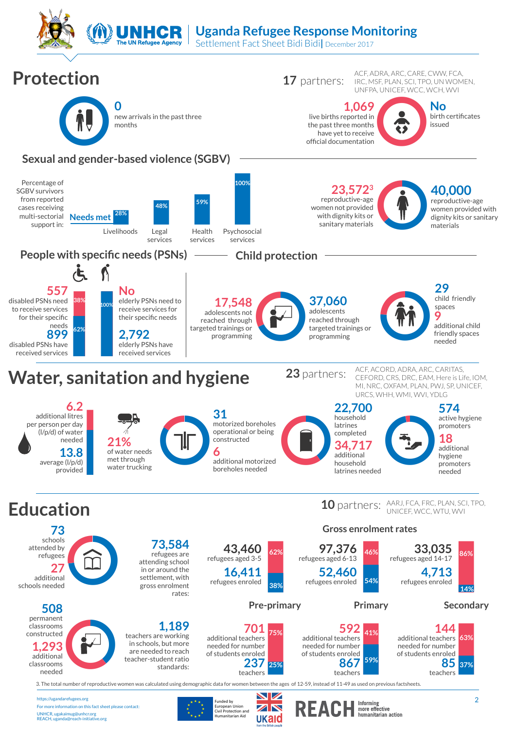**UNHCR** | Uganda Refugee Response Monitoring

Settlement Fact Sheet Bidi Bidi**|** December 2017

**The UN Refugee Agency** 



ukaid

For more information on this fact sheet please contact: UNHCR, ugakaimug@unhcr.org REACH, uganda@reach-initiative.org